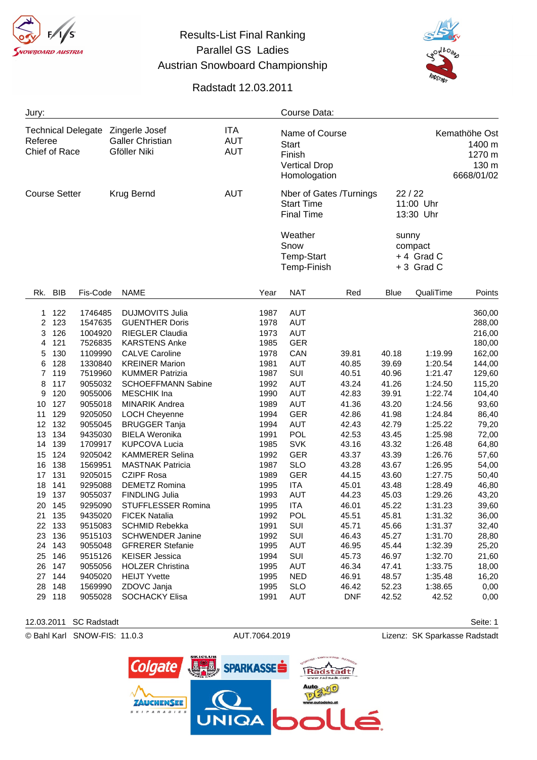## Parallel GS Ladies Austrian Snowboard Championship

## Radstadt 12.03.2011

| Jury:                                                 |            |          |                                                           |                           |                                        |      | Course Data:                                                                         |            |             |                                                          |        |
|-------------------------------------------------------|------------|----------|-----------------------------------------------------------|---------------------------|----------------------------------------|------|--------------------------------------------------------------------------------------|------------|-------------|----------------------------------------------------------|--------|
| <b>Technical Delegate</b><br>Referee<br>Chief of Race |            |          | Zingerle Josef<br><b>Galler Christian</b><br>Gföller Niki |                           | <b>ITA</b><br><b>AUT</b><br><b>AUT</b> |      | Name of Course<br>Start<br>Finish<br><b>Vertical Drop</b><br>Homologation            |            |             | Kemathöhe Ost<br>1400 m<br>1270 m<br>130 m<br>6668/01/02 |        |
| <b>Course Setter</b>                                  |            |          | Krug Bernd                                                |                           | <b>AUT</b>                             |      | Nber of Gates /Turnings<br><b>Start Time</b><br><b>Final Time</b><br>Weather<br>Snow |            |             | 22/22<br>11:00 Uhr<br>13:30 Uhr<br>sunny<br>compact      |        |
|                                                       |            |          |                                                           |                           |                                        |      | <b>Temp-Start</b><br>Temp-Finish                                                     |            |             | +4 Grad C<br>+3 Grad C                                   |        |
| Rk.                                                   | <b>BIB</b> | Fis-Code | <b>NAME</b>                                               |                           |                                        | Year | <b>NAT</b>                                                                           | Red        | <b>Blue</b> | QualiTime                                                | Points |
| 1                                                     | 122        | 1746485  | <b>DUJMOVITS Julia</b>                                    |                           |                                        | 1987 | <b>AUT</b>                                                                           |            |             |                                                          | 360,00 |
| 2                                                     | 123        | 1547635  | <b>GUENTHER Doris</b>                                     |                           |                                        | 1978 | <b>AUT</b>                                                                           |            |             |                                                          | 288,00 |
| 3                                                     | 126        | 1004920  | RIEGLER Claudia                                           |                           |                                        | 1973 | <b>AUT</b>                                                                           |            |             |                                                          | 216,00 |
| 4                                                     | 121        | 7526835  | <b>KARSTENS Anke</b>                                      |                           |                                        | 1985 | <b>GER</b>                                                                           |            |             |                                                          | 180,00 |
| 5                                                     | 130        | 1109990  | <b>CALVE Caroline</b>                                     |                           |                                        | 1978 | CAN                                                                                  | 39.81      | 40.18       | 1:19.99                                                  | 162,00 |
| 6                                                     | 128        | 1330840  | <b>KREINER Marion</b>                                     |                           |                                        | 1981 | <b>AUT</b>                                                                           | 40.85      | 39.69       | 1:20.54                                                  | 144,00 |
| 7                                                     | 119        | 7519960  | <b>KUMMER Patrizia</b>                                    |                           |                                        | 1987 | SUI                                                                                  | 40.51      | 40.96       | 1:21.47                                                  | 129,60 |
| 8                                                     | 117        | 9055032  |                                                           | <b>SCHOEFFMANN Sabine</b> |                                        | 1992 | <b>AUT</b>                                                                           | 43.24      | 41.26       | 1:24.50                                                  | 115,20 |
| 9                                                     | 120        | 9055006  | <b>MESCHIK</b> Ina                                        |                           |                                        | 1990 | <b>AUT</b>                                                                           | 42.83      | 39.91       | 1:22.74                                                  | 104,40 |
| 10                                                    | 127        | 9055018  | <b>MINARIK Andrea</b>                                     |                           |                                        | 1989 | <b>AUT</b>                                                                           | 41.36      | 43.20       | 1:24.56                                                  | 93,60  |
| 11                                                    | 129        | 9205050  | <b>LOCH Cheyenne</b>                                      |                           |                                        | 1994 | <b>GER</b>                                                                           | 42.86      | 41.98       | 1:24.84                                                  | 86,40  |
| 12                                                    | 132        | 9055045  | <b>BRUGGER Tanja</b>                                      |                           |                                        | 1994 | <b>AUT</b>                                                                           | 42.43      | 42.79       | 1:25.22                                                  | 79,20  |
| 13                                                    | 134        | 9435030  | <b>BIELA Weronika</b>                                     |                           |                                        | 1991 | <b>POL</b>                                                                           | 42.53      | 43.45       | 1:25.98                                                  | 72,00  |
| 14                                                    | 139        | 1709917  | <b>KUPCOVA Lucia</b>                                      |                           |                                        | 1985 | <b>SVK</b>                                                                           | 43.16      | 43.32       | 1:26.48                                                  | 64,80  |
| 15                                                    | 124        | 9205042  | <b>KAMMERER Selina</b>                                    |                           |                                        | 1992 | <b>GER</b>                                                                           | 43.37      | 43.39       | 1:26.76                                                  | 57,60  |
| 16                                                    | 138        | 1569951  | <b>MASTNAK Patricia</b>                                   |                           |                                        | 1987 | <b>SLO</b>                                                                           | 43.28      | 43.67       | 1:26.95                                                  | 54,00  |
| 17                                                    | 131        | 9205015  | <b>CZIPF Rosa</b>                                         |                           |                                        | 1989 | <b>GER</b>                                                                           | 44.15      | 43.60       | 1:27.75                                                  | 50,40  |
| 18                                                    | 141        | 9295088  | <b>DEMETZ Romina</b>                                      |                           |                                        | 1995 | <b>ITA</b>                                                                           | 45.01      | 43.48       | 1:28.49                                                  | 46,80  |
| 19                                                    | 137        | 9055037  | <b>FINDLING Julia</b>                                     |                           |                                        | 1993 | <b>AUT</b>                                                                           | 44.23      | 45.03       | 1:29.26                                                  | 43,20  |
| 20                                                    | 145        | 9295090  |                                                           | STUFFLESSER Romina        |                                        | 1995 | <b>ITA</b>                                                                           | 46.01      | 45.22       | 1:31.23                                                  | 39,60  |
| 21                                                    | 135        | 9435020  | <b>FICEK Natalia</b>                                      |                           |                                        | 1992 | <b>POL</b>                                                                           | 45.51      | 45.81       | 1:31.32                                                  | 36,00  |
| 22                                                    | 133        | 9515083  | SCHMID Rebekka                                            |                           |                                        | 1991 | SUI                                                                                  | 45.71      | 45.66       | 1:31.37                                                  | 32,40  |
| 23                                                    | 136        | 9515103  | <b>SCHWENDER Janine</b>                                   |                           |                                        | 1992 | SUI                                                                                  | 46.43      | 45.27       | 1:31.70                                                  | 28,80  |
|                                                       | 24 143     | 9055048  | <b>GFRERER Stefanie</b>                                   |                           |                                        | 1995 | AUT                                                                                  | 46.95      | 45.44       | 1:32.39                                                  | 25,20  |
|                                                       | 25 146     | 9515126  | <b>KEISER Jessica</b>                                     |                           |                                        | 1994 | SUI                                                                                  | 45.73      | 46.97       | 1:32.70                                                  | 21,60  |
| 26                                                    | 147        | 9055056  | <b>HOLZER Christina</b>                                   |                           |                                        | 1995 | AUT                                                                                  | 46.34      | 47.41       | 1:33.75                                                  | 18,00  |
| 27                                                    | 144        | 9405020  | <b>HEIJT Yvette</b>                                       |                           |                                        | 1995 | <b>NED</b>                                                                           | 46.91      | 48.57       | 1:35.48                                                  | 16,20  |
| 28                                                    | 148        | 1569990  | ZDOVC Janja                                               |                           |                                        | 1995 | <b>SLO</b>                                                                           | 46.42      | 52.23       | 1:38.65                                                  | 0,00   |
| 29                                                    | 118        | 9055028  | SOCHACKY Elisa                                            |                           |                                        | 1991 | <b>AUT</b>                                                                           | <b>DNF</b> | 42.52       | 42.52                                                    | 0,00   |

12.03.2011 SC Radstadt Seite: 1

© Bahl Karl SNOW-FIS: 11.0.3 AUT.7064.2019 Lizenz: SK Sparkasse Radstadt